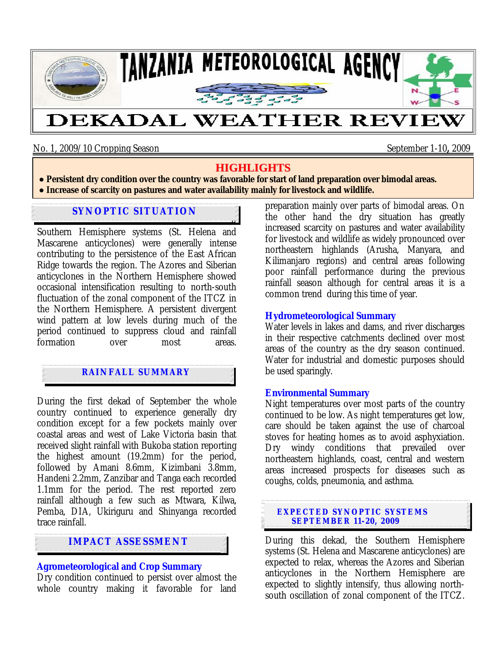

No. 1, 2009/10 Cropping Season September 1-10**,** 2009

## **HIGHLIGHTS**

**● Persistent dry condition over the country was favorable for start of land preparation over bimodal areas. ● Increase of scarcity on pastures and water availability mainly for livestock and wildlife.**

### During the first dekad of September 2009, both **SYNOPTIC SITUATION**

Southern Hemisphere systems (St. Helena and Mascarene anticyclones) were generally intense contributing to the persistence of the East African Ridge towards the region. The Azores and Siberian anticyclones in the Northern Hemisphere showed occasional intensification resulting to north-south fluctuation of the zonal component of the ITCZ in the Northern Hemisphere. A persistent divergent wind pattern at low levels during much of the period continued to suppress cloud and rainfall formation over most areas.

## **RAINFALL SUMMARY**

During the first dekad of September the whole country continued to experience generally dry condition except for a few pockets mainly over coastal areas and west of Lake Victoria basin that received slight rainfall with Bukoba station reporting the highest amount (19.2mm) for the period, followed by Amani 8.6mm, Kizimbani 3.8mm, Handeni 2.2mm, Zanzibar and Tanga each recorded 1.1mm for the period. The rest reported zero rainfall although a few such as Mtwara, Kilwa, Pemba, DIA, Ukiriguru and Shinyanga recorded trace rainfall.

## **IMPACT ASSESSMENT**

# **Agrometeorological and Crop Summary**

Dry condition continued to persist over almost the whole country making it favorable for land preparation mainly over parts of bimodal areas. On the other hand the dry situation has greatly increased scarcity on pastures and water availability for livestock and wildlife as widely pronounced over northeastern highlands (Arusha, Manyara, and Kilimanjaro regions) and central areas following poor rainfall performance during the previous rainfall season although for central areas it is a common trend during this time of year.

## **Hydrometeorological Summary**

Water levels in lakes and dams, and river discharges in their respective catchments declined over most areas of the country as the dry season continued. Water for industrial and domestic purposes should be used sparingly.

## **Environmental Summary**

Night temperatures over most parts of the country continued to be low. As night temperatures get low, care should be taken against the use of charcoal stoves for heating homes as to avoid asphyxiation. Dry windy conditions that prevailed over northeastern highlands, coast, central and western areas increased prospects for diseases such as coughs, colds, pneumonia, and asthma.

#### **EXPECTED SYNOPTIC SYSTEMS SEPTEMBER 11- 20, 2009**

During this dekad, the Southern Hemisphere systems (St. Helena and Mascarene anticyclones) are expected to relax, whereas the Azores and Siberian anticyclones in the Northern Hemisphere are expected to slightly intensify, thus allowing northsouth oscillation of zonal component of the ITCZ.